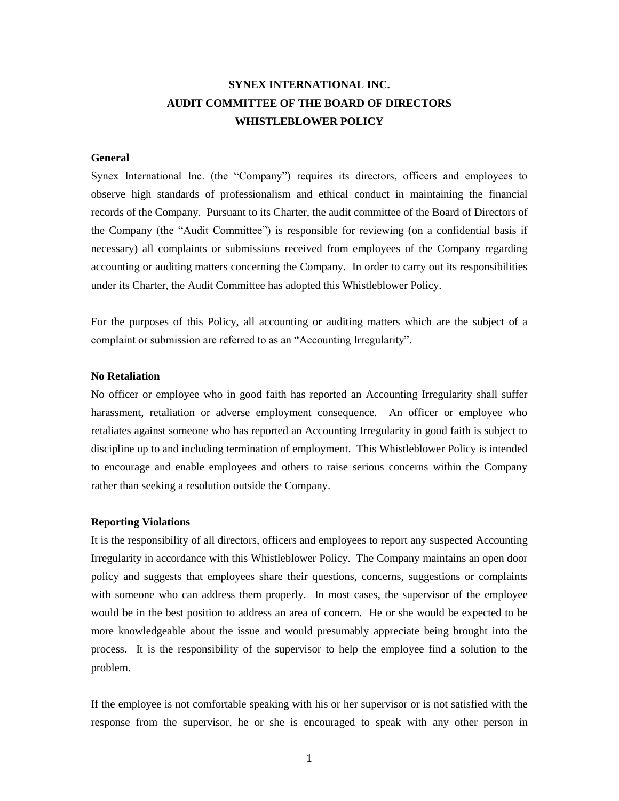# **SYNEX INTERNATIONAL INC. AUDIT COMMITTEE OF THE BOARD OF DIRECTORS WHISTLEBLOWER POLICY**

## **General**

Synex International Inc. (the "Company") requires its directors, officers and employees to observe high standards of professionalism and ethical conduct in maintaining the financial records of the Company. Pursuant to its Charter, the audit committee of the Board of Directors of the Company (the "Audit Committee") is responsible for reviewing (on a confidential basis if necessary) all complaints or submissions received from employees of the Company regarding accounting or auditing matters concerning the Company. In order to carry out its responsibilities under its Charter, the Audit Committee has adopted this Whistleblower Policy.

For the purposes of this Policy, all accounting or auditing matters which are the subject of a complaint or submission are referred to as an "Accounting Irregularity".

#### **No Retaliation**

No officer or employee who in good faith has reported an Accounting Irregularity shall suffer harassment, retaliation or adverse employment consequence. An officer or employee who retaliates against someone who has reported an Accounting Irregularity in good faith is subject to discipline up to and including termination of employment. This Whistleblower Policy is intended to encourage and enable employees and others to raise serious concerns within the Company rather than seeking a resolution outside the Company.

#### **Reporting Violations**

It is the responsibility of all directors, officers and employees to report any suspected Accounting Irregularity in accordance with this Whistleblower Policy. The Company maintains an open door policy and suggests that employees share their questions, concerns, suggestions or complaints with someone who can address them properly. In most cases, the supervisor of the employee would be in the best position to address an area of concern. He or she would be expected to be more knowledgeable about the issue and would presumably appreciate being brought into the process. It is the responsibility of the supervisor to help the employee find a solution to the problem.

If the employee is not comfortable speaking with his or her supervisor or is not satisfied with the response from the supervisor, he or she is encouraged to speak with any other person in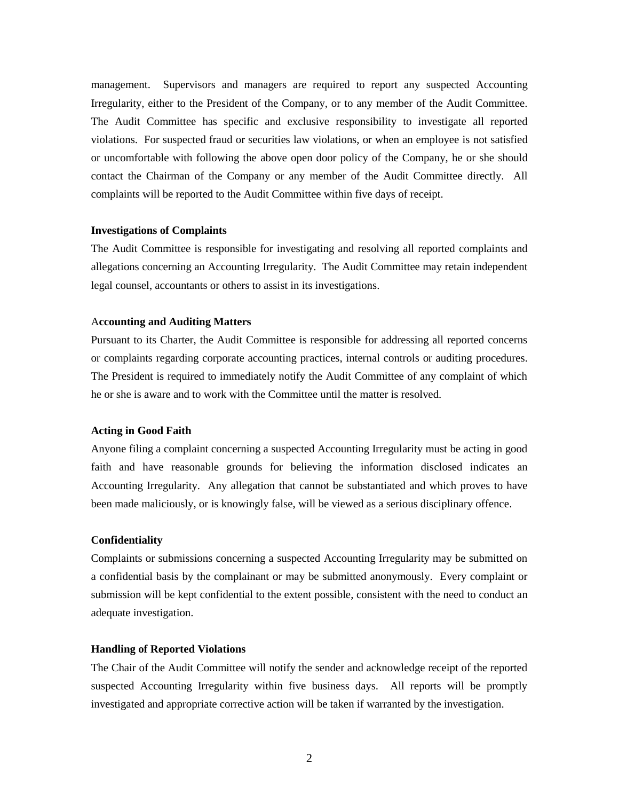management. Supervisors and managers are required to report any suspected Accounting Irregularity, either to the President of the Company, or to any member of the Audit Committee. The Audit Committee has specific and exclusive responsibility to investigate all reported violations. For suspected fraud or securities law violations, or when an employee is not satisfied or uncomfortable with following the above open door policy of the Company, he or she should contact the Chairman of the Company or any member of the Audit Committee directly. All complaints will be reported to the Audit Committee within five days of receipt.

#### **Investigations of Complaints**

The Audit Committee is responsible for investigating and resolving all reported complaints and allegations concerning an Accounting Irregularity. The Audit Committee may retain independent legal counsel, accountants or others to assist in its investigations.

### A**ccounting and Auditing Matters**

Pursuant to its Charter, the Audit Committee is responsible for addressing all reported concerns or complaints regarding corporate accounting practices, internal controls or auditing procedures. The President is required to immediately notify the Audit Committee of any complaint of which he or she is aware and to work with the Committee until the matter is resolved.

#### **Acting in Good Faith**

Anyone filing a complaint concerning a suspected Accounting Irregularity must be acting in good faith and have reasonable grounds for believing the information disclosed indicates an Accounting Irregularity. Any allegation that cannot be substantiated and which proves to have been made maliciously, or is knowingly false, will be viewed as a serious disciplinary offence.

#### **Confidentiality**

Complaints or submissions concerning a suspected Accounting Irregularity may be submitted on a confidential basis by the complainant or may be submitted anonymously. Every complaint or submission will be kept confidential to the extent possible, consistent with the need to conduct an adequate investigation.

### **Handling of Reported Violations**

The Chair of the Audit Committee will notify the sender and acknowledge receipt of the reported suspected Accounting Irregularity within five business days. All reports will be promptly investigated and appropriate corrective action will be taken if warranted by the investigation.